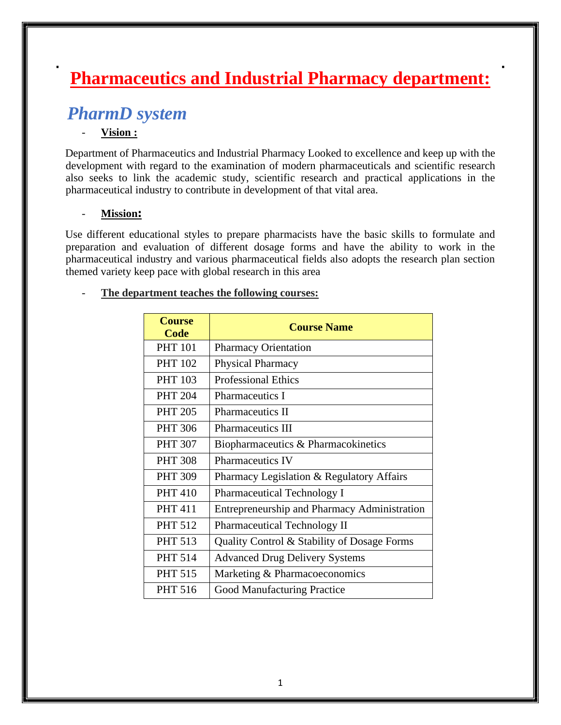# **Pharmaceutics and Industrial Pharmacy department:**

## *PharmD system*

#### - **Vision :**

Department of Pharmaceutics and Industrial Pharmacy Looked to excellence and keep up with the development with regard to the examination of modern pharmaceuticals and scientific research also seeks to link the academic study, scientific research and practical applications in the pharmaceutical industry to contribute in development of that vital area.

#### - **Mission:**

Use different educational styles to prepare pharmacists have the basic skills to formulate and preparation and evaluation of different dosage forms and have the ability to work in the pharmaceutical industry and various pharmaceutical fields also adopts the research plan section themed variety keep pace with global research in this area

#### - **The department teaches the following courses:**

| <b>Course</b><br><b>Code</b> | <b>Course Name</b>                                  |
|------------------------------|-----------------------------------------------------|
| <b>PHT 101</b>               | <b>Pharmacy Orientation</b>                         |
| <b>PHT 102</b>               | Physical Pharmacy                                   |
| <b>PHT 103</b>               | <b>Professional Ethics</b>                          |
| <b>PHT 204</b>               | <b>Pharmaceutics I</b>                              |
| <b>PHT 205</b>               | <b>Pharmaceutics II</b>                             |
| <b>PHT 306</b>               | <b>Pharmaceutics III</b>                            |
| <b>PHT 307</b>               | Biopharmaceutics & Pharmacokinetics                 |
| <b>PHT 308</b>               | <b>Pharmaceutics IV</b>                             |
| <b>PHT 309</b>               | Pharmacy Legislation & Regulatory Affairs           |
| <b>PHT 410</b>               | <b>Pharmaceutical Technology I</b>                  |
| <b>PHT 411</b>               | <b>Entrepreneurship and Pharmacy Administration</b> |
| <b>PHT 512</b>               | Pharmaceutical Technology II                        |
| <b>PHT 513</b>               | Quality Control & Stability of Dosage Forms         |
| <b>PHT 514</b>               | <b>Advanced Drug Delivery Systems</b>               |
| <b>PHT 515</b>               | Marketing & Pharmacoeconomics                       |
| <b>PHT 516</b>               | <b>Good Manufacturing Practice</b>                  |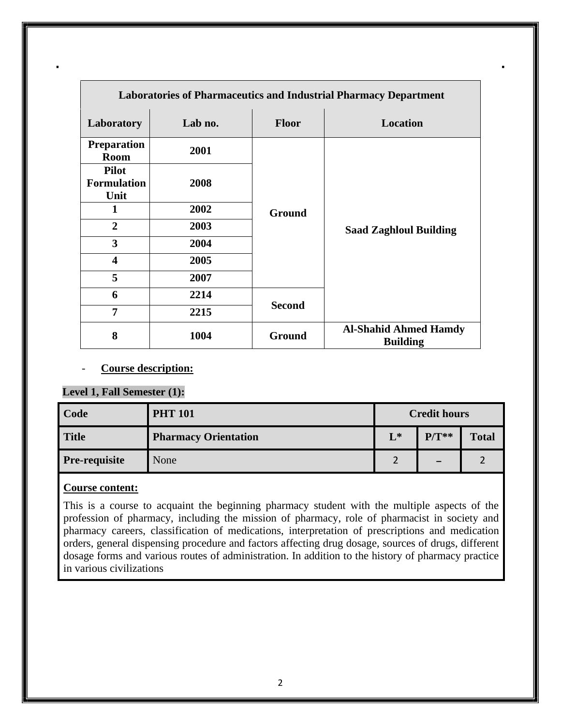|                                            | <b>Laboratories of Pharmaceutics and Industrial Pharmacy Department</b> |               |                                                 |  |  |
|--------------------------------------------|-------------------------------------------------------------------------|---------------|-------------------------------------------------|--|--|
| Laboratory                                 | Lab no.                                                                 | <b>Floor</b>  | Location                                        |  |  |
| <b>Preparation</b><br><b>Room</b>          | 2001                                                                    |               |                                                 |  |  |
| <b>Pilot</b><br><b>Formulation</b><br>Unit | 2008                                                                    | <b>Ground</b> |                                                 |  |  |
| 1                                          | 2002                                                                    |               |                                                 |  |  |
| $\overline{2}$                             | 2003                                                                    |               | <b>Saad Zaghloul Building</b>                   |  |  |
| 3                                          | 2004                                                                    |               |                                                 |  |  |
| $\overline{\mathbf{4}}$                    | 2005                                                                    |               |                                                 |  |  |
| 5                                          | 2007                                                                    |               |                                                 |  |  |
| 6                                          | 2214                                                                    |               |                                                 |  |  |
| $\overline{7}$                             | 2215                                                                    | <b>Second</b> |                                                 |  |  |
| 8                                          | 1004                                                                    | Ground        | <b>Al-Shahid Ahmed Hamdy</b><br><b>Building</b> |  |  |

#### Course description:

## **Level 1, Fall Semester (1):**

| Code          | <b>PHT 101</b>              | <b>Credit hours</b>           |         |              |
|---------------|-----------------------------|-------------------------------|---------|--------------|
| <b>Title</b>  | <b>Pharmacy Orientation</b> | $L^*$                         | $P/T**$ | <b>Total</b> |
| Pre-requisite | None                        | $\overline{\phantom{0}}$<br>← | -       |              |

## **Course content:**

This is a course to acquaint the beginning pharmacy student with the multiple aspects of the profession of pharmacy, including the mission of pharmacy, role of pharmacist in society and pharmacy careers, classification of medications, interpretation of prescriptions and medication orders, general dispensing procedure and factors affecting drug dosage, sources of drugs, different dosage forms and various routes of administration. In addition to the history of pharmacy practice in various civilizations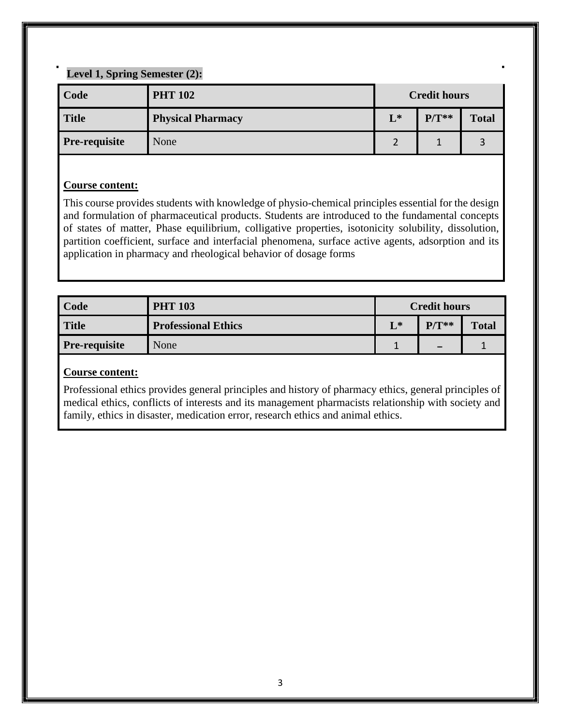## **Level 1, Spring Semester (2):**

| Code                 | <b>PHT 102</b>           | <b>Credit hours</b> |         |              |
|----------------------|--------------------------|---------------------|---------|--------------|
| <b>Title</b>         | <b>Physical Pharmacy</b> | $L^*$               | $P/T**$ | <b>Total</b> |
| <b>Pre-requisite</b> | None                     |                     |         |              |

#### **Course content:**

This course provides students with knowledge of physio-chemical principles essential for the design and formulation of pharmaceutical products. Students are introduced to the fundamental concepts of states of matter, Phase equilibrium, colligative properties, isotonicity solubility, dissolution, partition coefficient, surface and interfacial phenomena, surface active agents, adsorption and its application in pharmacy and rheological behavior of dosage forms

| Code                 | <b>PHT 103</b>             | <b>Credit hours</b> |                          |              |  |
|----------------------|----------------------------|---------------------|--------------------------|--------------|--|
| <b>Title</b>         | <b>Professional Ethics</b> | $L^*$               | $P/T**$                  | <b>Total</b> |  |
| <b>Pre-requisite</b> | None                       | и                   | $\overline{\phantom{m}}$ |              |  |

#### **Course content:**

Professional ethics provides general principles and history of pharmacy ethics, general principles of medical ethics, conflicts of interests and its management pharmacists relationship with society and family, ethics in disaster, medication error, research ethics and animal ethics.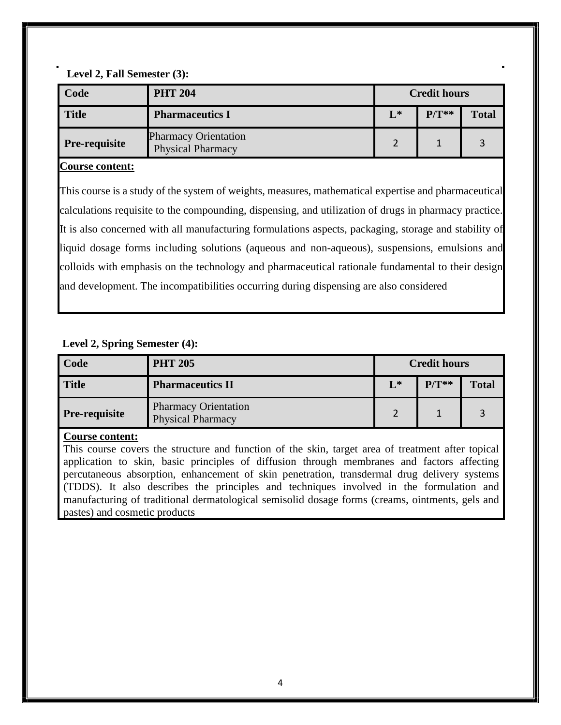**Level 2, Fall Semester (3):**

| Code                 | <b>PHT 204</b>                                          | <b>Credit hours</b> |         |              |  |
|----------------------|---------------------------------------------------------|---------------------|---------|--------------|--|
| <b>Title</b>         | <b>Pharmaceutics I</b>                                  | $L^*$               | $P/T**$ | <b>Total</b> |  |
| <b>Pre-requisite</b> | <b>Pharmacy Orientation</b><br><b>Physical Pharmacy</b> |                     |         |              |  |

#### **Course content:**

This course is a study of the system of weights, measures, mathematical expertise and pharmaceutical calculations requisite to the compounding, dispensing, and utilization of drugs in pharmacy practice. It is also concerned with all manufacturing formulations aspects, packaging, storage and stability of liquid dosage forms including solutions (aqueous and non-aqueous), suspensions, emulsions and colloids with emphasis on the technology and pharmaceutical rationale fundamental to their design and development. The incompatibilities occurring during dispensing are also considered

#### **Level 2, Spring Semester (4):**

| Code          | <b>PHT 205</b>                                          | <b>Credit hours</b> |         |              |  |
|---------------|---------------------------------------------------------|---------------------|---------|--------------|--|
| <b>Title</b>  | <b>Pharmaceutics II</b>                                 | $L^*$               | $P/T**$ | <b>Total</b> |  |
| Pre-requisite | <b>Pharmacy Orientation</b><br><b>Physical Pharmacy</b> | $\overline{2}$      |         |              |  |

#### **Course content:**

This course covers the structure and function of the skin, target area of treatment after topical application to skin, basic principles of diffusion through membranes and factors affecting percutaneous absorption, enhancement of skin penetration, transdermal drug delivery systems (TDDS). It also describes the principles and techniques involved in the formulation and manufacturing of traditional dermatological semisolid dosage forms (creams, ointments, gels and pastes) and cosmetic products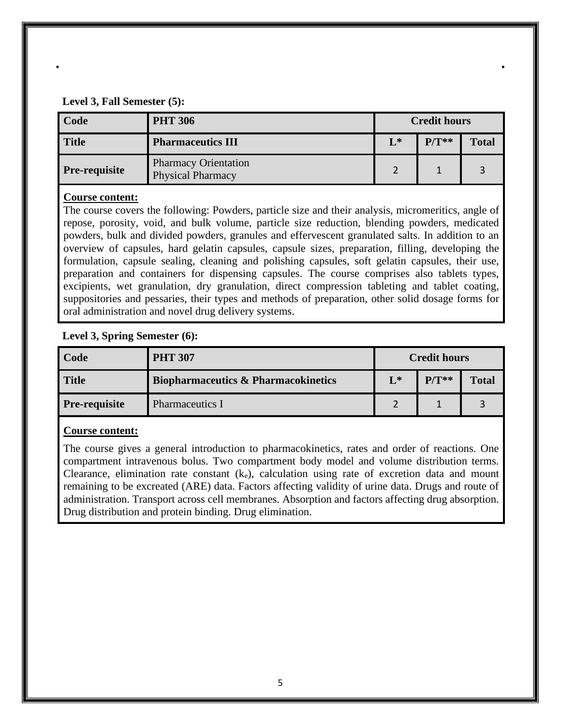#### **Level 3, Fall Semester (5):**

| Code                 | <b>PHT 306</b>                                          | <b>Credit hours</b> |         |              |  |
|----------------------|---------------------------------------------------------|---------------------|---------|--------------|--|
| <b>Title</b>         | <b>Pharmaceutics III</b>                                | $L^*$               | $P/T**$ | <b>Total</b> |  |
| <b>Pre-requisite</b> | <b>Pharmacy Orientation</b><br><b>Physical Pharmacy</b> |                     |         |              |  |

#### **Course content:**

The course covers the following: Powders, particle size and their analysis, micromeritics, angle of repose, porosity, void, and bulk volume, particle size reduction, blending powders, medicated powders, bulk and divided powders, granules and effervescent granulated salts. In addition to an overview of capsules, hard gelatin capsules, capsule sizes, preparation, filling, developing the formulation, capsule sealing, cleaning and polishing capsules, soft gelatin capsules, their use, preparation and containers for dispensing capsules. The course comprises also tablets types, excipients, wet granulation, dry granulation, direct compression tableting and tablet coating, suppositories and pessaries, their types and methods of preparation, other solid dosage forms for oral administration and novel drug delivery systems.

#### **Level 3, Spring Semester (6):**

| Code          | <b>PHT 307</b>                                 | <b>Credit hours</b> |         |              |
|---------------|------------------------------------------------|---------------------|---------|--------------|
| <b>Title</b>  | <b>Biopharmaceutics &amp; Pharmacokinetics</b> | $L^*$               | $P/T**$ | <b>Total</b> |
| Pre-requisite | <b>Pharmaceutics I</b>                         |                     |         |              |

#### **Course content:**

The course gives a general introduction to pharmacokinetics, rates and order of reactions. One compartment intravenous bolus. Two compartment body model and volume distribution terms. Clearance, elimination rate constant  $(k_e)$ , calculation using rate of excretion data and mount remaining to be excreated (ARE) data. Factors affecting validity of urine data. Drugs and route of administration. Transport across cell membranes. Absorption and factors affecting drug absorption. Drug distribution and protein binding. Drug elimination.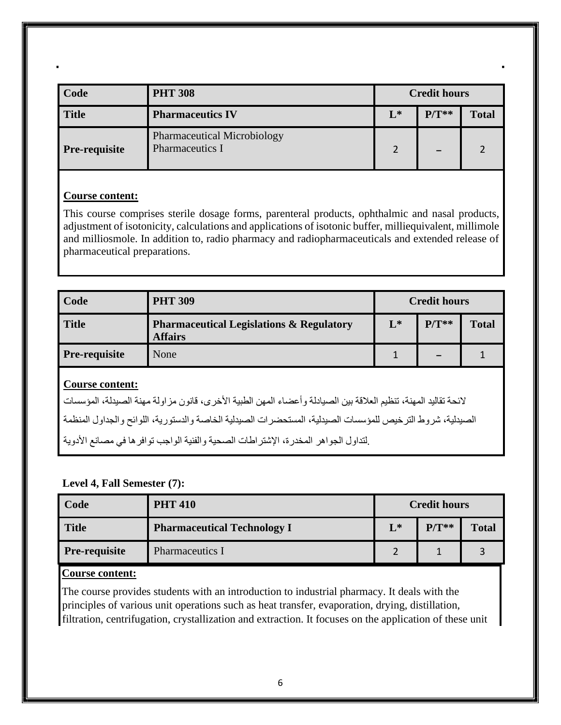| Code          | <b>PHT 308</b>                                        | <b>Credit hours</b> |         |              |
|---------------|-------------------------------------------------------|---------------------|---------|--------------|
| <b>Title</b>  | <b>Pharmaceutics IV</b>                               | $L^*$               | $P/T**$ | <b>Total</b> |
| Pre-requisite | <b>Pharmaceutical Microbiology</b><br>Pharmaceutics I |                     |         |              |

#### **Course content:**

This course comprises sterile dosage forms, parenteral products, ophthalmic and nasal products, adjustment of isotonicity, calculations and applications of isotonic buffer, milliequivalent, millimole and milliosmole. In addition to, radio pharmacy and radiopharmaceuticals and extended release of pharmaceutical preparations.

| Code                                                                                                                                       | <b>PHT 309</b>                                                                      |       | <b>Credit hours</b> |              |  |
|--------------------------------------------------------------------------------------------------------------------------------------------|-------------------------------------------------------------------------------------|-------|---------------------|--------------|--|
| <b>Title</b>                                                                                                                               | <b>Pharmaceutical Legislations &amp; Regulatory</b><br><b>Affairs</b>               | $L^*$ | $P/T**$             | <b>Total</b> |  |
| <b>Pre-requisite</b>                                                                                                                       | None                                                                                |       |                     |              |  |
| <b>Course content:</b><br>لائحة تقاليد المهنة، تنظيم العلاقة بين الصيادلة وأعضاء المهن الطبية الأخرى، قانون مز اولة مهنة الصيدلة، المؤسسات |                                                                                     |       |                     |              |  |
| الصيدلية، شروط الترخيص للمؤسسات الصيدلية، المستحضرات الصيدلية الخاصة والدستورية، اللوائح والجداول المنظمة                                  |                                                                                     |       |                     |              |  |
|                                                                                                                                            | ِلتداول الجواهر المخدرة، الإشتراطات الصحية والفنية الواجب توافر ها في مصانع الأدوية |       |                     |              |  |

## **Level 4, Fall Semester (7):**

| Code          | <b>PHT 410</b>                     | <b>Credit hours</b> |         |              |
|---------------|------------------------------------|---------------------|---------|--------------|
| <b>Title</b>  | <b>Pharmaceutical Technology I</b> | $L^*$               | $P/T**$ | <b>Total</b> |
| Pre-requisite | Pharmaceutics I                    |                     |         |              |

#### **Course content:**

The course provides students with an introduction to industrial pharmacy. It deals with the principles of various unit operations such as heat transfer, evaporation, drying, distillation, filtration, centrifugation, crystallization and extraction. It focuses on the application of these unit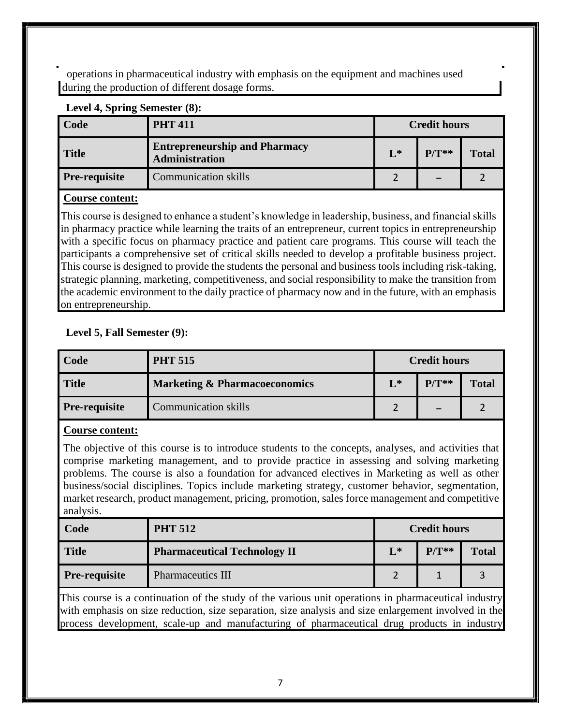operations in pharmaceutical industry with emphasis on the equipment and machines used during the production of different dosage forms.

| Level $\theta$ , opting definested $(0)$ . |                                                        |                     |         |              |  |  |
|--------------------------------------------|--------------------------------------------------------|---------------------|---------|--------------|--|--|
| Code                                       | <b>PHT 411</b>                                         | <b>Credit hours</b> |         |              |  |  |
| <b>Title</b>                               | <b>Entrepreneurship and Pharmacy</b><br>Administration | $L^*$               | $P/T**$ | <b>Total</b> |  |  |
| <b>Pre-requisite</b>                       | <b>Communication skills</b>                            |                     |         |              |  |  |

## Level 4, Spring Semester (8).

#### **Course content:**

This course is designed to enhance a student's knowledge in leadership, business, and financial skills in pharmacy practice while learning the traits of an entrepreneur, current topics in entrepreneurship with a specific focus on pharmacy practice and patient care programs. This course will teach the participants a comprehensive set of critical skills needed to develop a profitable business project. This course is designed to provide the students the personal and business tools including risk-taking, strategic planning, marketing, competitiveness, and social responsibility to make the transition from the academic environment to the daily practice of pharmacy now and in the future, with an emphasis on entrepreneurship.

## **Level 5, Fall Semester (9):**

| Code                 | <b>PHT 515</b>                           | <b>Credit hours</b> |         |              |
|----------------------|------------------------------------------|---------------------|---------|--------------|
| <b>Title</b>         | <b>Marketing &amp; Pharmacoeconomics</b> | $L^*$               | $P/T**$ | <b>Total</b> |
| <b>Pre-requisite</b> | <b>Communication skills</b>              |                     |         |              |

#### **Course content:**

The objective of this course is to introduce students to the concepts, analyses, and activities that comprise marketing management, and to provide practice in assessing and solving marketing problems. The course is also a foundation for advanced electives in Marketing as well as other business/social disciplines. Topics include marketing strategy, customer behavior, segmentation, market research, product management, pricing, promotion, sales force management and competitive analysis.

| Code          | <b>PHT 512</b>                      | <b>Credit hours</b> |         |              |
|---------------|-------------------------------------|---------------------|---------|--------------|
| <b>Title</b>  | <b>Pharmaceutical Technology II</b> | $\mathbf{L}^*$      | $P/T**$ | <b>Total</b> |
| Pre-requisite | <b>Pharmaceutics III</b>            |                     |         |              |

This course is a continuation of the study of the various unit operations in pharmaceutical industry with emphasis on size reduction, size separation, size analysis and size enlargement involved in the process development, scale-up and manufacturing of pharmaceutical drug products in industry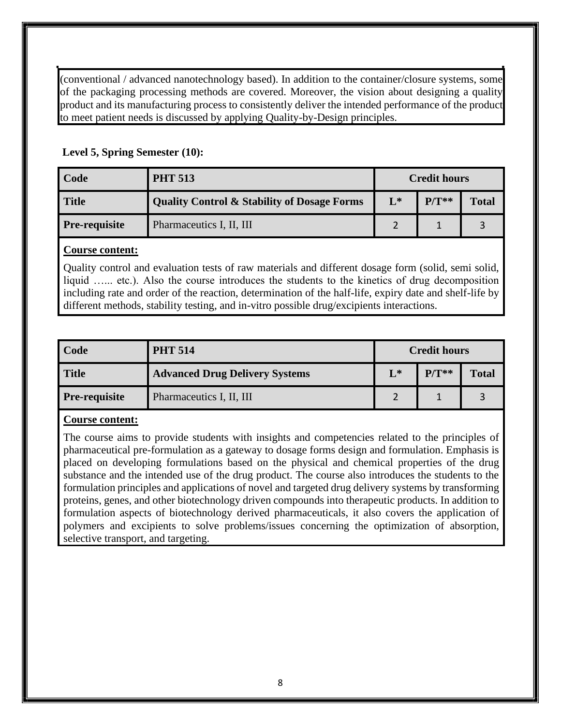(conventional / advanced nanotechnology based). In addition to the container/closure systems, some of the packaging processing methods are covered. Moreover, the vision about designing a quality product and its manufacturing process to consistently deliver the intended performance of the product to meet patient needs is discussed by applying Quality-by-Design principles.

#### **Level 5, Spring Semester (10):**

| Code                 | <b>PHT 513</b>                                         | <b>Credit hours</b> |         |              |
|----------------------|--------------------------------------------------------|---------------------|---------|--------------|
| <b>Title</b>         | <b>Quality Control &amp; Stability of Dosage Forms</b> | $L^*$               | $P/T**$ | <b>Total</b> |
| <b>Pre-requisite</b> | Pharmaceutics I, II, III                               |                     |         |              |

#### **Course content:**

Quality control and evaluation tests of raw materials and different dosage form (solid, semi solid, liquid …... etc.). Also the course introduces the students to the kinetics of drug decomposition including rate and order of the reaction, determination of the half-life, expiry date and shelf-life by different methods, stability testing, and in-vitro possible drug/excipients interactions.

| Code                 | <b>PHT 514</b>                        | <b>Credit hours</b> |         |              |
|----------------------|---------------------------------------|---------------------|---------|--------------|
| <b>Title</b>         | <b>Advanced Drug Delivery Systems</b> | $L^*$               | $P/T**$ | <b>Total</b> |
| <b>Pre-requisite</b> | Pharmaceutics I, II, III              |                     |         |              |

## **Course content:**

The course aims to provide students with insights and competencies related to the principles of pharmaceutical pre-formulation as a gateway to dosage forms design and formulation. Emphasis is placed on developing formulations based on the physical and chemical properties of the drug substance and the intended use of the drug product. The course also introduces the students to the formulation principles and applications of novel and targeted drug delivery systems by transforming proteins, genes, and other biotechnology driven compounds into therapeutic products. In addition to formulation aspects of biotechnology derived pharmaceuticals, it also covers the application of polymers and excipients to solve problems/issues concerning the optimization of absorption, selective transport, and targeting.